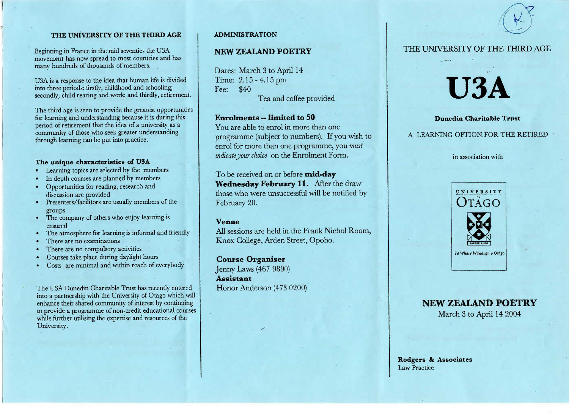### **THE UNIVERSITY OF THE THIRD AGE**

Beginning in France in the mid seventies the USA movement has now spread to most countries and hasmany hundreds of thousands of members.

USA is a response to the idea that human life is dividedinto three periods: firstly, childhood and schooling;econdly, child rearing and work; and thirdly, retirement.

The third age is seen to provide the greatest opportunitiesfor learning and understanding because it is during thisperiod of retirement that the idea of a university as a community of those who seek greater understandingthrough learning can be put into practice.

### **The unique characteristics of U3A**

- Learning topics are selected by the members
- In depth courses are planned by members
- Opportunities for reading, research anddiscussion are provided
- Presenters/facilitors are usually members of thegroups
- The company of others who enjoy learning isensured
- The atmosphere for learning is informal and friendly
- There are no examinations
- There are no compulsory activities
- Courses take place during daylight hours
- Costs are minimal and within reach of everybody

The USA Dunedin Charitable Trust has recently entered into a partnership with the University of Otago which will enhance their shared community of interest by continuing to provide a programme of non-credit educational courseswhile further utilising the expertise and resources of theUniversity.

### **ADMINISTRATION**

### NEW **ZEALAND POETRY**

Dates: March 3 to April 14Time: 2.15-4.15pmFee: \$40Tea and coffee provided

### **Enrolments — limited to 50**

 You are able to enrol in more than one programme (subject to numbers). If you wish toenrol for more than one programme, you *mustindicate your choice* on the Enrolment Form.

To be received on or before **mid-day Wednesday February 11.** After the draw those who were unsuccessful will be notified byFebruary 20.

### **Venue**

 All sessions are held in the Frank Nichol Room,Knox College, Arden Street, Opoho.

**Course Organiser** Jenny Laws (467 9890)**Assistant**Honor Anderson (473 0200)



THE UNIVERSITY OF THE THIRD AGE

**USA**

**Dunedin Charitable Trust**

A LEARNING OPTION FOR THE RETIRED

in association with

# **NEW ZEALAND POETRY**

March 3 to April 142004

**Rodgers & Associates**Law Practice